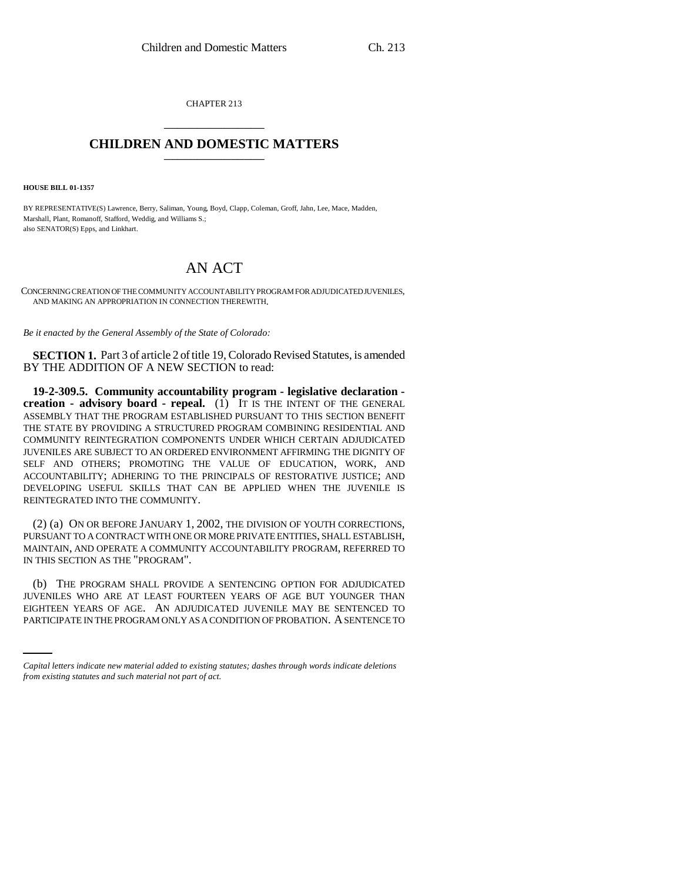CHAPTER 213 \_\_\_\_\_\_\_\_\_\_\_\_\_\_\_

## **CHILDREN AND DOMESTIC MATTERS** \_\_\_\_\_\_\_\_\_\_\_\_\_\_\_

**HOUSE BILL 01-1357**

BY REPRESENTATIVE(S) Lawrence, Berry, Saliman, Young, Boyd, Clapp, Coleman, Groff, Jahn, Lee, Mace, Madden, Marshall, Plant, Romanoff, Stafford, Weddig, and Williams S.; also SENATOR(S) Epps, and Linkhart.

## AN ACT

CONCERNING CREATION OF THE COMMUNITY ACCOUNTABILITY PROGRAM FOR ADJUDICATED JUVENILES, AND MAKING AN APPROPRIATION IN CONNECTION THEREWITH.

*Be it enacted by the General Assembly of the State of Colorado:*

**SECTION 1.** Part 3 of article 2 of title 19, Colorado Revised Statutes, is amended BY THE ADDITION OF A NEW SECTION to read:

**19-2-309.5. Community accountability program - legislative declaration creation - advisory board - repeal.** (1) IT IS THE INTENT OF THE GENERAL ASSEMBLY THAT THE PROGRAM ESTABLISHED PURSUANT TO THIS SECTION BENEFIT THE STATE BY PROVIDING A STRUCTURED PROGRAM COMBINING RESIDENTIAL AND COMMUNITY REINTEGRATION COMPONENTS UNDER WHICH CERTAIN ADJUDICATED JUVENILES ARE SUBJECT TO AN ORDERED ENVIRONMENT AFFIRMING THE DIGNITY OF SELF AND OTHERS; PROMOTING THE VALUE OF EDUCATION, WORK, AND ACCOUNTABILITY; ADHERING TO THE PRINCIPALS OF RESTORATIVE JUSTICE; AND DEVELOPING USEFUL SKILLS THAT CAN BE APPLIED WHEN THE JUVENILE IS REINTEGRATED INTO THE COMMUNITY.

(2) (a) ON OR BEFORE JANUARY 1, 2002, THE DIVISION OF YOUTH CORRECTIONS, PURSUANT TO A CONTRACT WITH ONE OR MORE PRIVATE ENTITIES, SHALL ESTABLISH, MAINTAIN, AND OPERATE A COMMUNITY ACCOUNTABILITY PROGRAM, REFERRED TO IN THIS SECTION AS THE "PROGRAM".

JUVENILES WHO ARE AT LEAST FOURTEEN YEARS OF AGE BUT YOUNGER THAN (b) THE PROGRAM SHALL PROVIDE A SENTENCING OPTION FOR ADJUDICATED EIGHTEEN YEARS OF AGE. AN ADJUDICATED JUVENILE MAY BE SENTENCED TO PARTICIPATE IN THE PROGRAM ONLY AS A CONDITION OF PROBATION. A SENTENCE TO

*Capital letters indicate new material added to existing statutes; dashes through words indicate deletions from existing statutes and such material not part of act.*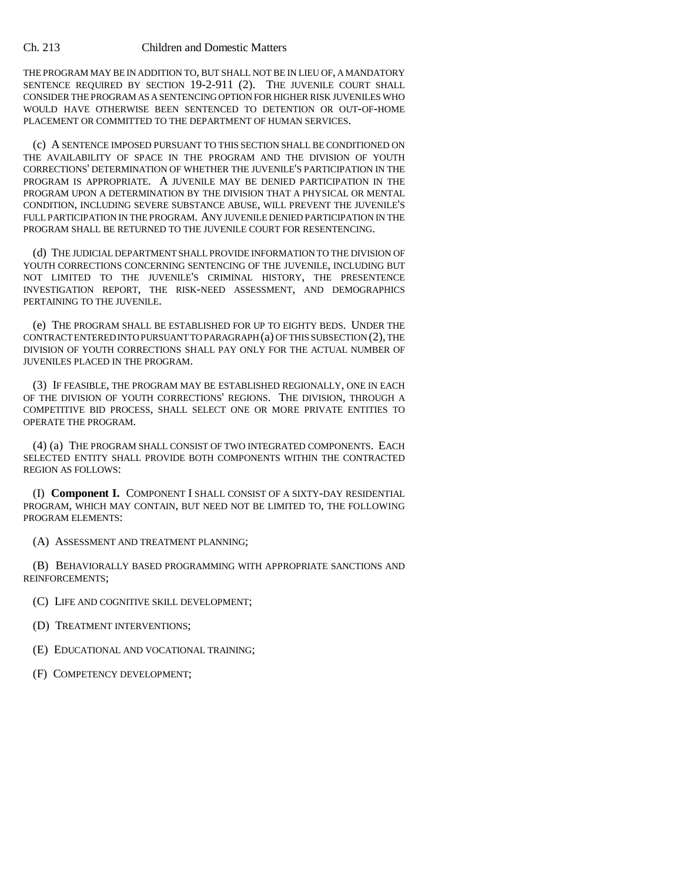THE PROGRAM MAY BE IN ADDITION TO, BUT SHALL NOT BE IN LIEU OF, A MANDATORY SENTENCE REQUIRED BY SECTION 19-2-911 (2). THE JUVENILE COURT SHALL CONSIDER THE PROGRAM AS A SENTENCING OPTION FOR HIGHER RISK JUVENILES WHO WOULD HAVE OTHERWISE BEEN SENTENCED TO DETENTION OR OUT-OF-HOME PLACEMENT OR COMMITTED TO THE DEPARTMENT OF HUMAN SERVICES.

(c) A SENTENCE IMPOSED PURSUANT TO THIS SECTION SHALL BE CONDITIONED ON THE AVAILABILITY OF SPACE IN THE PROGRAM AND THE DIVISION OF YOUTH CORRECTIONS' DETERMINATION OF WHETHER THE JUVENILE'S PARTICIPATION IN THE PROGRAM IS APPROPRIATE. A JUVENILE MAY BE DENIED PARTICIPATION IN THE PROGRAM UPON A DETERMINATION BY THE DIVISION THAT A PHYSICAL OR MENTAL CONDITION, INCLUDING SEVERE SUBSTANCE ABUSE, WILL PREVENT THE JUVENILE'S FULL PARTICIPATION IN THE PROGRAM. ANY JUVENILE DENIED PARTICIPATION IN THE PROGRAM SHALL BE RETURNED TO THE JUVENILE COURT FOR RESENTENCING.

(d) THE JUDICIAL DEPARTMENT SHALL PROVIDE INFORMATION TO THE DIVISION OF YOUTH CORRECTIONS CONCERNING SENTENCING OF THE JUVENILE, INCLUDING BUT NOT LIMITED TO THE JUVENILE'S CRIMINAL HISTORY, THE PRESENTENCE INVESTIGATION REPORT, THE RISK-NEED ASSESSMENT, AND DEMOGRAPHICS PERTAINING TO THE JUVENILE.

(e) THE PROGRAM SHALL BE ESTABLISHED FOR UP TO EIGHTY BEDS. UNDER THE CONTRACT ENTERED INTO PURSUANT TO PARAGRAPH (a) OF THIS SUBSECTION (2), THE DIVISION OF YOUTH CORRECTIONS SHALL PAY ONLY FOR THE ACTUAL NUMBER OF JUVENILES PLACED IN THE PROGRAM.

(3) IF FEASIBLE, THE PROGRAM MAY BE ESTABLISHED REGIONALLY, ONE IN EACH OF THE DIVISION OF YOUTH CORRECTIONS' REGIONS. THE DIVISION, THROUGH A COMPETITIVE BID PROCESS, SHALL SELECT ONE OR MORE PRIVATE ENTITIES TO OPERATE THE PROGRAM.

(4) (a) THE PROGRAM SHALL CONSIST OF TWO INTEGRATED COMPONENTS. EACH SELECTED ENTITY SHALL PROVIDE BOTH COMPONENTS WITHIN THE CONTRACTED REGION AS FOLLOWS:

(I) **Component I.** COMPONENT I SHALL CONSIST OF A SIXTY-DAY RESIDENTIAL PROGRAM, WHICH MAY CONTAIN, BUT NEED NOT BE LIMITED TO, THE FOLLOWING PROGRAM ELEMENTS:

(A) ASSESSMENT AND TREATMENT PLANNING;

(B) BEHAVIORALLY BASED PROGRAMMING WITH APPROPRIATE SANCTIONS AND REINFORCEMENTS;

(C) LIFE AND COGNITIVE SKILL DEVELOPMENT;

- (D) TREATMENT INTERVENTIONS;
- (E) EDUCATIONAL AND VOCATIONAL TRAINING;
- (F) COMPETENCY DEVELOPMENT;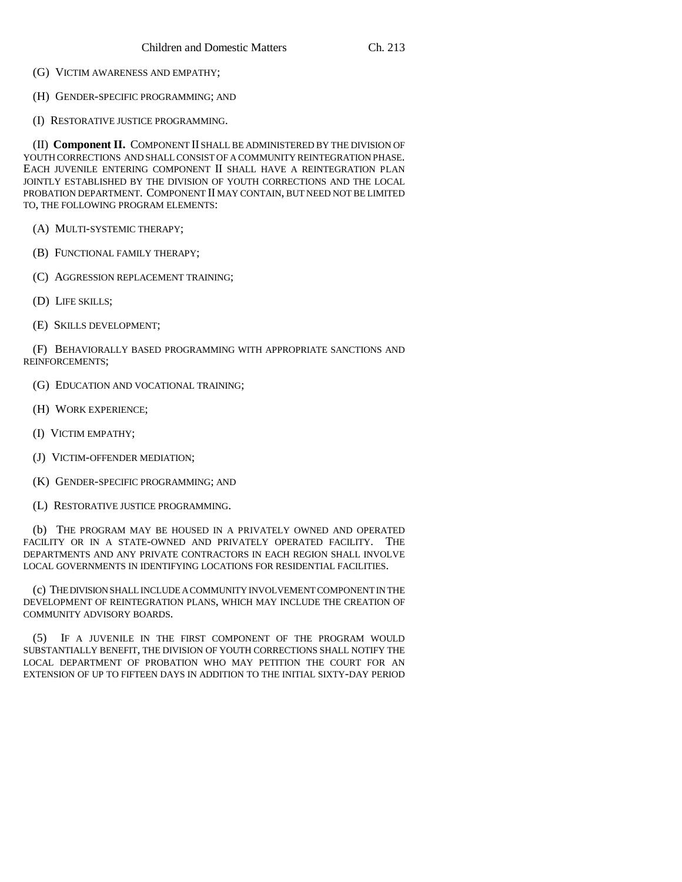- (G) VICTIM AWARENESS AND EMPATHY;
- (H) GENDER-SPECIFIC PROGRAMMING; AND
- (I) RESTORATIVE JUSTICE PROGRAMMING.

(II) **Component II.** COMPONENT II SHALL BE ADMINISTERED BY THE DIVISION OF YOUTH CORRECTIONS AND SHALL CONSIST OF A COMMUNITY REINTEGRATION PHASE. EACH JUVENILE ENTERING COMPONENT II SHALL HAVE A REINTEGRATION PLAN JOINTLY ESTABLISHED BY THE DIVISION OF YOUTH CORRECTIONS AND THE LOCAL PROBATION DEPARTMENT. COMPONENT II MAY CONTAIN, BUT NEED NOT BE LIMITED TO, THE FOLLOWING PROGRAM ELEMENTS:

- (A) MULTI-SYSTEMIC THERAPY;
- (B) FUNCTIONAL FAMILY THERAPY;
- (C) AGGRESSION REPLACEMENT TRAINING;
- (D) LIFE SKILLS;
- (E) SKILLS DEVELOPMENT;

(F) BEHAVIORALLY BASED PROGRAMMING WITH APPROPRIATE SANCTIONS AND REINFORCEMENTS;

- (G) EDUCATION AND VOCATIONAL TRAINING;
- (H) WORK EXPERIENCE;
- (I) VICTIM EMPATHY;
- (J) VICTIM-OFFENDER MEDIATION;
- (K) GENDER-SPECIFIC PROGRAMMING; AND
- (L) RESTORATIVE JUSTICE PROGRAMMING.

(b) THE PROGRAM MAY BE HOUSED IN A PRIVATELY OWNED AND OPERATED FACILITY OR IN A STATE-OWNED AND PRIVATELY OPERATED FACILITY. THE DEPARTMENTS AND ANY PRIVATE CONTRACTORS IN EACH REGION SHALL INVOLVE LOCAL GOVERNMENTS IN IDENTIFYING LOCATIONS FOR RESIDENTIAL FACILITIES.

(c) THE DIVISION SHALL INCLUDE A COMMUNITY INVOLVEMENT COMPONENT IN THE DEVELOPMENT OF REINTEGRATION PLANS, WHICH MAY INCLUDE THE CREATION OF COMMUNITY ADVISORY BOARDS.

(5) IF A JUVENILE IN THE FIRST COMPONENT OF THE PROGRAM WOULD SUBSTANTIALLY BENEFIT, THE DIVISION OF YOUTH CORRECTIONS SHALL NOTIFY THE LOCAL DEPARTMENT OF PROBATION WHO MAY PETITION THE COURT FOR AN EXTENSION OF UP TO FIFTEEN DAYS IN ADDITION TO THE INITIAL SIXTY-DAY PERIOD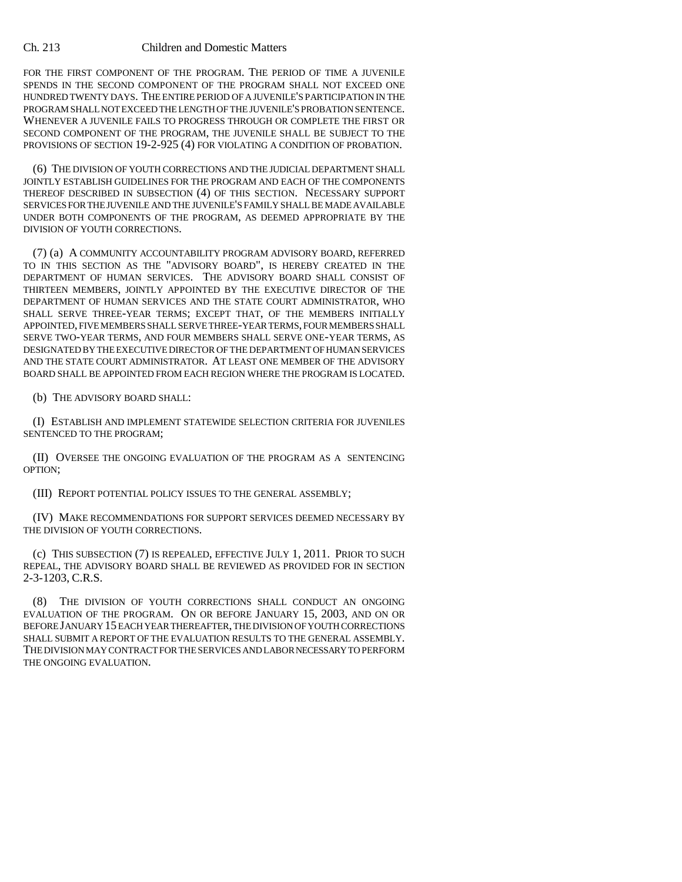## Ch. 213 Children and Domestic Matters

FOR THE FIRST COMPONENT OF THE PROGRAM. THE PERIOD OF TIME A JUVENILE SPENDS IN THE SECOND COMPONENT OF THE PROGRAM SHALL NOT EXCEED ONE HUNDRED TWENTY DAYS. THE ENTIRE PERIOD OF A JUVENILE'S PARTICIPATION IN THE PROGRAM SHALL NOT EXCEED THE LENGTH OF THE JUVENILE'S PROBATION SENTENCE. WHENEVER A JUVENILE FAILS TO PROGRESS THROUGH OR COMPLETE THE FIRST OR SECOND COMPONENT OF THE PROGRAM, THE JUVENILE SHALL BE SUBJECT TO THE PROVISIONS OF SECTION 19-2-925 (4) FOR VIOLATING A CONDITION OF PROBATION.

(6) THE DIVISION OF YOUTH CORRECTIONS AND THE JUDICIAL DEPARTMENT SHALL JOINTLY ESTABLISH GUIDELINES FOR THE PROGRAM AND EACH OF THE COMPONENTS THEREOF DESCRIBED IN SUBSECTION (4) OF THIS SECTION. NECESSARY SUPPORT SERVICES FOR THE JUVENILE AND THE JUVENILE'S FAMILY SHALL BE MADE AVAILABLE UNDER BOTH COMPONENTS OF THE PROGRAM, AS DEEMED APPROPRIATE BY THE DIVISION OF YOUTH CORRECTIONS.

(7) (a) A COMMUNITY ACCOUNTABILITY PROGRAM ADVISORY BOARD, REFERRED TO IN THIS SECTION AS THE "ADVISORY BOARD", IS HEREBY CREATED IN THE DEPARTMENT OF HUMAN SERVICES. THE ADVISORY BOARD SHALL CONSIST OF THIRTEEN MEMBERS, JOINTLY APPOINTED BY THE EXECUTIVE DIRECTOR OF THE DEPARTMENT OF HUMAN SERVICES AND THE STATE COURT ADMINISTRATOR, WHO SHALL SERVE THREE-YEAR TERMS; EXCEPT THAT, OF THE MEMBERS INITIALLY APPOINTED, FIVE MEMBERS SHALL SERVE THREE-YEAR TERMS, FOUR MEMBERS SHALL SERVE TWO-YEAR TERMS, AND FOUR MEMBERS SHALL SERVE ONE-YEAR TERMS, AS DESIGNATED BY THE EXECUTIVE DIRECTOR OF THE DEPARTMENT OF HUMAN SERVICES AND THE STATE COURT ADMINISTRATOR. AT LEAST ONE MEMBER OF THE ADVISORY BOARD SHALL BE APPOINTED FROM EACH REGION WHERE THE PROGRAM IS LOCATED.

(b) THE ADVISORY BOARD SHALL:

(I) ESTABLISH AND IMPLEMENT STATEWIDE SELECTION CRITERIA FOR JUVENILES SENTENCED TO THE PROGRAM;

(II) OVERSEE THE ONGOING EVALUATION OF THE PROGRAM AS A SENTENCING OPTION;

(III) REPORT POTENTIAL POLICY ISSUES TO THE GENERAL ASSEMBLY;

(IV) MAKE RECOMMENDATIONS FOR SUPPORT SERVICES DEEMED NECESSARY BY THE DIVISION OF YOUTH CORRECTIONS.

(c) THIS SUBSECTION (7) IS REPEALED, EFFECTIVE JULY 1, 2011. PRIOR TO SUCH REPEAL, THE ADVISORY BOARD SHALL BE REVIEWED AS PROVIDED FOR IN SECTION 2-3-1203, C.R.S.

(8) THE DIVISION OF YOUTH CORRECTIONS SHALL CONDUCT AN ONGOING EVALUATION OF THE PROGRAM. ON OR BEFORE JANUARY 15, 2003, AND ON OR BEFORE JANUARY 15 EACH YEAR THEREAFTER, THE DIVISION OF YOUTH CORRECTIONS SHALL SUBMIT A REPORT OF THE EVALUATION RESULTS TO THE GENERAL ASSEMBLY. THE DIVISION MAY CONTRACT FOR THE SERVICES AND LABOR NECESSARY TO PERFORM THE ONGOING EVALUATION.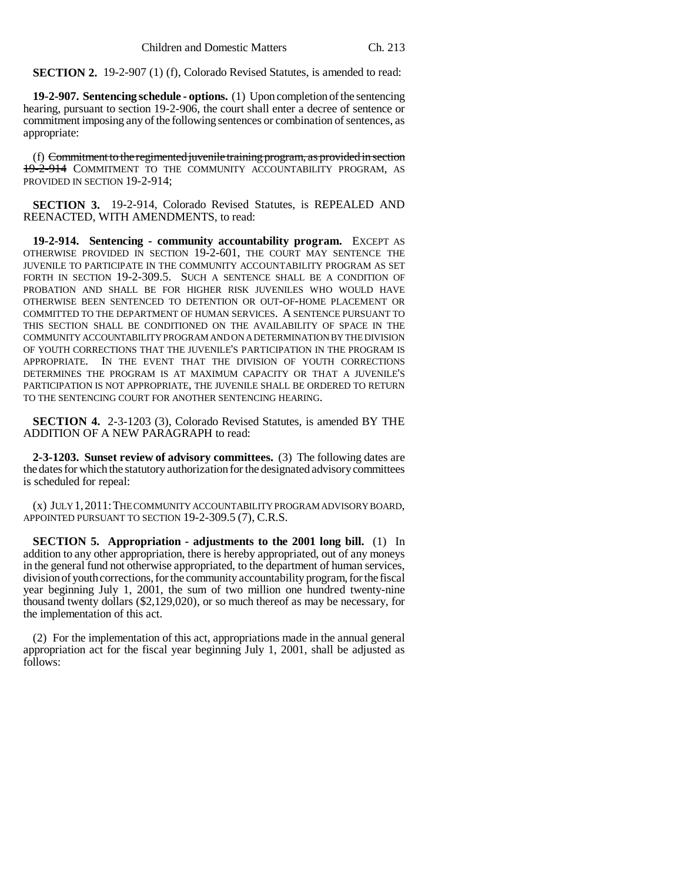**SECTION 2.** 19-2-907 (1) (f), Colorado Revised Statutes, is amended to read:

**19-2-907. Sentencing schedule - options.** (1) Upon completion of the sentencing hearing, pursuant to section 19-2-906, the court shall enter a decree of sentence or commitment imposing any of the following sentences or combination of sentences, as appropriate:

(f) Commitment to the regimented juvenile training program, as provided in section 19-2-914 COMMITMENT TO THE COMMUNITY ACCOUNTABILITY PROGRAM, AS PROVIDED IN SECTION 19-2-914;

**SECTION 3.** 19-2-914, Colorado Revised Statutes, is REPEALED AND REENACTED, WITH AMENDMENTS, to read:

**19-2-914. Sentencing - community accountability program.** EXCEPT AS OTHERWISE PROVIDED IN SECTION 19-2-601, THE COURT MAY SENTENCE THE JUVENILE TO PARTICIPATE IN THE COMMUNITY ACCOUNTABILITY PROGRAM AS SET FORTH IN SECTION 19-2-309.5. SUCH A SENTENCE SHALL BE A CONDITION OF PROBATION AND SHALL BE FOR HIGHER RISK JUVENILES WHO WOULD HAVE OTHERWISE BEEN SENTENCED TO DETENTION OR OUT-OF-HOME PLACEMENT OR COMMITTED TO THE DEPARTMENT OF HUMAN SERVICES. A SENTENCE PURSUANT TO THIS SECTION SHALL BE CONDITIONED ON THE AVAILABILITY OF SPACE IN THE COMMUNITY ACCOUNTABILITY PROGRAM AND ON A DETERMINATION BY THE DIVISION OF YOUTH CORRECTIONS THAT THE JUVENILE'S PARTICIPATION IN THE PROGRAM IS APPROPRIATE. IN THE EVENT THAT THE DIVISION OF YOUTH CORRECTIONS DETERMINES THE PROGRAM IS AT MAXIMUM CAPACITY OR THAT A JUVENILE'S PARTICIPATION IS NOT APPROPRIATE, THE JUVENILE SHALL BE ORDERED TO RETURN TO THE SENTENCING COURT FOR ANOTHER SENTENCING HEARING.

**SECTION 4.** 2-3-1203 (3), Colorado Revised Statutes, is amended BY THE ADDITION OF A NEW PARAGRAPH to read:

**2-3-1203. Sunset review of advisory committees.** (3) The following dates are the dates for which the statutory authorization for the designated advisory committees is scheduled for repeal:

(x) JULY 1,2011:THE COMMUNITY ACCOUNTABILITY PROGRAM ADVISORY BOARD, APPOINTED PURSUANT TO SECTION 19-2-309.5 (7), C.R.S.

**SECTION 5.** Appropriation - adjustments to the 2001 long bill. (1) In addition to any other appropriation, there is hereby appropriated, out of any moneys in the general fund not otherwise appropriated, to the department of human services, division of youth corrections, for the community accountability program, for the fiscal year beginning July 1, 2001, the sum of two million one hundred twenty-nine thousand twenty dollars (\$2,129,020), or so much thereof as may be necessary, for the implementation of this act.

(2) For the implementation of this act, appropriations made in the annual general appropriation act for the fiscal year beginning July 1, 2001, shall be adjusted as follows: